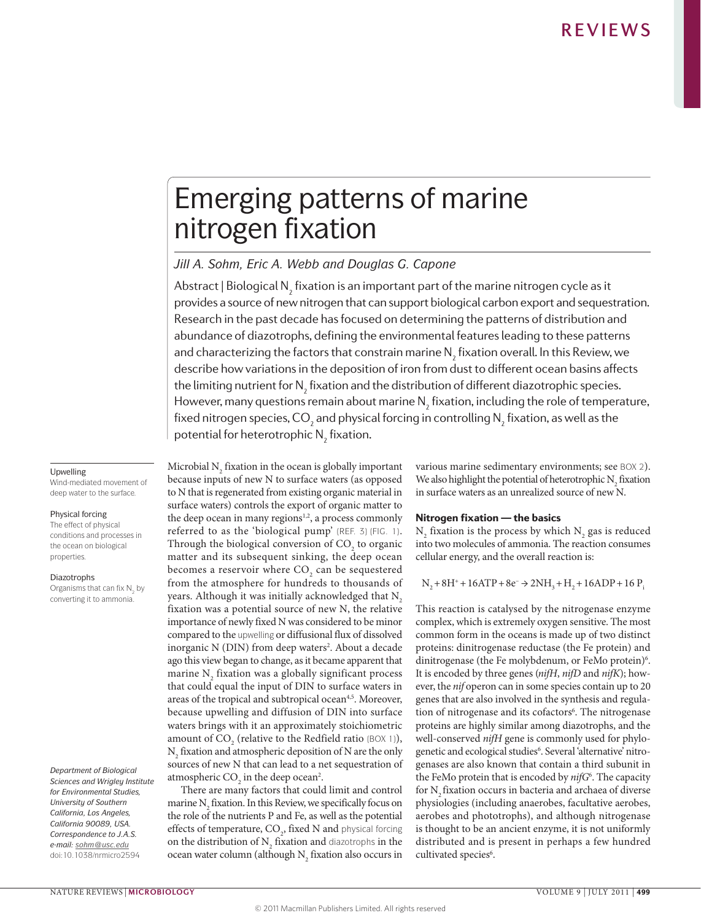# Emerging patterns of marine nitrogen fixation

## *Jill A. Sohm, Eric A. Webb and Douglas G. Capone*

Abstract | Biological N $_{_2}$  fixation is an important part of the marine nitrogen cycle as it provides a source of new nitrogen that can support biological carbon export and sequestration. Research in the past decade has focused on determining the patterns of distribution and abundance of diazotrophs, defining the environmental features leading to these patterns and characterizing the factors that constrain marine  $\mathsf{N}_\mathsf{2}$  fixation overall. In this Review, we describe how variations in the deposition of iron from dust to different ocean basins affects the limiting nutrient for  $\mathsf{N}_{_{\!2}}$  fixation and the distribution of different diazotrophic species. However, many questions remain about marine  $\mathsf{N}_\mathsf{2}$  fixation, including the role of temperature, fixed nitrogen species, CO<sub>2</sub> and physical forcing in controlling  $\mathsf{N}_\mathfrak{z}$  fixation, as well as the potential for heterotrophic  $\mathsf{N}_\mathfrak{z}$  fixation.

## Upwelling

Wind-mediated movement of deep water to the surface.

#### Physical forcing

The effect of physical conditions and processes in the ocean on biological properties.

## Diazotrophs

Organisms that can fix  $N<sub>2</sub>$  by converting it to ammonia.

*Department of Biological Sciences and Wrigley Institute for Environmental Studies, University of Southern California, Los Angeles, California 90089, USA. Correspondence to J.A.S. e-mail: [sohm@usc.edu](mailto:sohm@usc.edu)* doi:10.1038/nrmicro2594

Microbial  $N_2$  fixation in the ocean is globally important because inputs of new N to surface waters (as opposed to N that is regenerated from existing organic material in surface waters) controls the export of organic matter to the deep ocean in many regions $1,2$ , a process commonly referred to as the 'biological pump' (REF. 3) (FIG. 1). Through the biological conversion of  $CO_2$  to organic matter and its subsequent sinking, the deep ocean becomes a reservoir where  $CO<sub>2</sub>$  can be sequestered from the atmosphere for hundreds to thousands of years. Although it was initially acknowledged that N<sub>2</sub> fixation was a potential source of new N, the relative importance of newly fixed N was considered to be minor compared to the upwelling or diffusional flux of dissolved inorganic N (DIN) from deep waters<sup>2</sup>. About a decade ago this view began to change, as it became apparent that marine  $N_2$  fixation was a globally significant process that could equal the input of DIN to surface waters in areas of the tropical and subtropical ocean<sup>4,5</sup>. Moreover, because upwelling and diffusion of DIN into surface waters brings with it an approximately stoichiometric amount of  $CO_2$  (relative to the Redfield ratio (BOX 1)),  $N_2$  fixation and atmospheric deposition of N are the only sources of new N that can lead to a net sequestration of atmospheric  $CO<sub>2</sub>$  in the deep ocean<sup>2</sup>.

There are many factors that could limit and control marine  $N_2$  fixation. In this Review, we specifically focus on the role of the nutrients P and Fe, as well as the potential effects of temperature,  $\mathrm{CO}_2^{}$ , fixed N and physical forcing on the distribution of  $N_2$  fixation and diazotrophs in the ocean water column (although  $N_2$  fixation also occurs in various marine sedimentary environments; see BOX 2). We also highlight the potential of heterotrophic  $N_2$  fixation in surface waters as an unrealized source of new N.

## Nitrogen fixation — the basics

 $N_2$  fixation is the process by which  $N_2$  gas is reduced into two molecules of ammonia. The reaction consumes cellular energy, and the overall reaction is:

 $N_2 + 8H^+ + 16ATP + 8e^- \rightarrow 2NH_3 + H_2 + 16ADP + 16P$ 

This reaction is catalysed by the nitrogenase enzyme complex, which is extremely oxygen sensitive. The most common form in the oceans is made up of two distinct proteins: dinitrogenase reductase (the Fe protein) and dinitrogenase (the Fe molybdenum, or FeMo protein)<sup>6</sup>. It is encoded by three genes (*nifH*, *nifD* and *nifK*); however, the *nif* operon can in some species contain up to 20 genes that are also involved in the synthesis and regulation of nitrogenase and its cofactors<sup>6</sup>. The nitrogenase proteins are highly similar among diazotrophs, and the well-conserved *nifH* gene is commonly used for phylogenetic and ecological studies<sup>6</sup>. Several 'alternative' nitrogenases are also known that contain a third subunit in the FeMo protein that is encoded by *nifG*<sup>6</sup> . The capacity for N<sub>2</sub> fixation occurs in bacteria and archaea of diverse physiologies (including anaerobes, facultative aerobes, aerobes and phototrophs), and although nitrogenase is thought to be an ancient enzyme, it is not uniformly distributed and is present in perhaps a few hundred cultivated species<sup>6</sup>.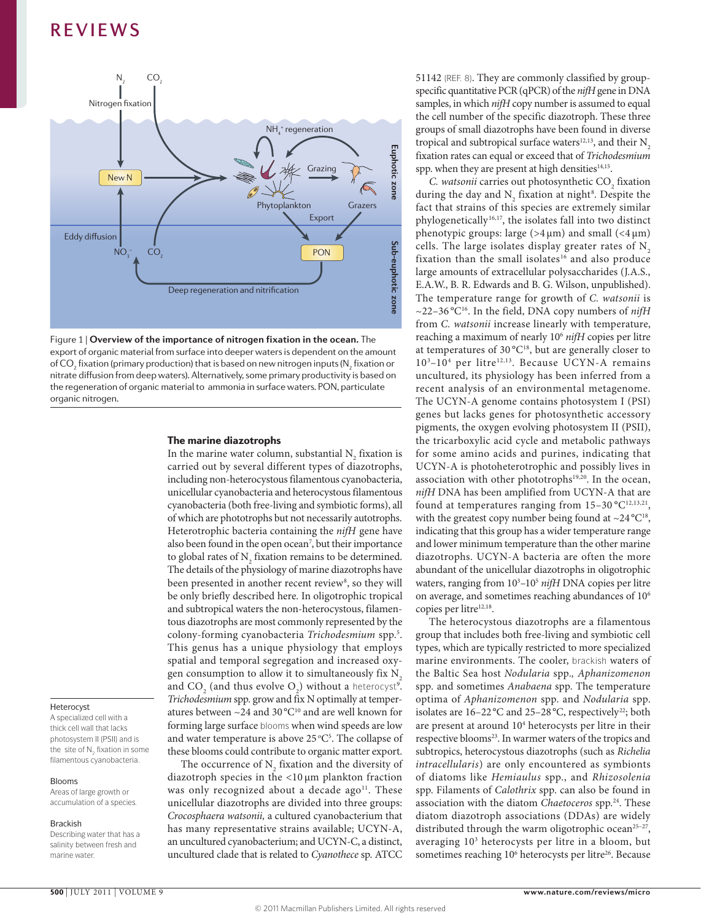



## The marine diazotrophs

In the marine water column, substantial  $N_2$  fixation is carried out by several different types of diazotrophs, including non-heterocystous filamentous cyanobacteria, unicellular cyanobacteria and heterocystous filamentous cyanobacteria (both free-living and symbiotic forms), all of which are phototrophs but not necessarily autotrophs. Heterotrophic bacteria containing the *nifH* gene have also been found in the open ocean<sup>7</sup>, but their importance to global rates of  $N_2$  fixation remains to be determined. The details of the physiology of marine diazotrophs have been presented in another recent review<sup>8</sup>, so they will be only briefly described here. In oligotrophic tropical and subtropical waters the non-heterocystous, filamentous diazotrophs are most commonly represented by the colony-forming cyanobacteria *Trichodesmium* spp.5 . This genus has a unique physiology that employs spatial and temporal segregation and increased oxygen consumption to allow it to simultaneously fix N. and  $CO_2$  (and thus evolve  $O_2$ ) without a heterocyst<sup>9</sup>. *Trichodesmium* spp. grow and fix N optimally at temperatures between  $\sim$ 24 and 30 °C<sup>10</sup> and are well known for forming large surface blooms when wind speeds are low and water temperature is above  $25^{\circ}C^5$ . The collapse of these blooms could contribute to organic matter export.

The occurrence of  $N_2$  fixation and the diversity of diazotroph species in the <10 μm plankton fraction was only recognized about a decade ago<sup>11</sup>. These unicellular diazotrophs are divided into three groups: *Crocosphaera watsonii,* a cultured cyanobacterium that has many representative strains available; UCYN-A, an uncultured cyanobacterium; and UCYN-C, a distinct, uncultured clade that is related to *Cyanothece* sp. ATCC 51142 (REF. 8). They are commonly classified by groupspecific quantitative PCR (qPCR) of the *nifH* gene in DNA samples, in which *nifH* copy number is assumed to equal the cell number of the specific diazotroph. These three groups of small diazotrophs have been found in diverse tropical and subtropical surface waters<sup>12,13</sup>, and their  $N_a$ fixation rates can equal or exceed that of *Trichodesmium* spp. when they are present at high densities $14,15$ .

*C. watsonii* carries out photosynthetic  $CO<sub>2</sub>$  fixation during the day and  $N_2$  fixation at night<sup>8</sup>. Despite the fact that strains of this species are extremely similar phylogenetically<sup>16,17</sup>, the isolates fall into two distinct phenotypic groups: large ( $>4 \mu m$ ) and small ( $<4 \mu m$ ) cells. The large isolates display greater rates of  $N<sub>2</sub>$ fixation than the small isolates<sup>16</sup> and also produce large amounts of extracellular polysaccharides (J.A.S., E.A.W., B. R. Edwards and B. G. Wilson, unpublished). The temperature range for growth of *C. watsonii* is  $\sim$ 22–36 °C<sup>16</sup>. In the field, DNA copy numbers of *nifH* from *C. watsonii* increase linearly with temperature, reaching a maximum of nearly 106 *nifH* copies per litre at temperatures of  $30^{\circ}C^{18}$ , but are generally closer to 10<sup>3</sup>-10<sup>4</sup> per litre<sup>12,13</sup>. Because UCYN-A remains uncultured, its physiology has been inferred from a recent analysis of an environmental metagenome. The UCYN-A genome contains photosystem I (PSI) genes but lacks genes for photosynthetic accessory pigments, the oxygen evolving photosystem II (PSII), the tricarboxylic acid cycle and metabolic pathways for some amino acids and purines, indicating that UCYN-A is photoheterotrophic and possibly lives in association with other phototrophs<sup>19,20</sup>. In the ocean, *nifH* DNA has been amplified from UCYN-A that are found at temperatures ranging from  $15-30$  °C<sup>12,13,21</sup>, with the greatest copy number being found at  $\sim$ 24 °C<sup>18</sup>, indicating that this group has a wider temperature range and lower minimum temperature than the other marine diazotrophs. UCYN-A bacteria are often the more abundant of the unicellular diazotrophs in oligotrophic waters, ranging from  $10^3$ -10<sup>5</sup> nifH DNA copies per litre on average, and sometimes reaching abundances of 106 copies per litre<sup>12,18</sup>.

The heterocystous diazotrophs are a filamentous group that includes both free-living and symbiotic cell types, which are typically restricted to more specialized marine environments. The cooler, brackish waters of the Baltic Sea host *Nodularia* spp.*, Aphanizomenon*  spp*.* and sometimes *Anabaena* spp. The temperature optima of *Aphanizomenon* spp. and *Nodularia* spp. isolates are  $16-22$  °C and  $25-28$  °C, respectively<sup>22</sup>; both are present at around 104 heterocysts per litre in their respective blooms<sup>23</sup>. In warmer waters of the tropics and subtropics, heterocystous diazotrophs (such as *Richelia intracellularis*) are only encountered as symbionts of diatoms like *Hemiaulus* spp., and *Rhizosolenia*  spp. Filaments of *Calothrix* spp. can also be found in association with the diatom *Chaetoceros* spp.24. These diatom diazotroph associations (DDAs) are widely distributed through the warm oligotrophic ocean<sup>25-27</sup>, averaging 103 heterocysts per litre in a bloom, but sometimes reaching 10<sup>6</sup> heterocysts per litre<sup>26</sup>. Because

## Heterocyst

A specialized cell with a thick cell wall that lacks photosystem II (PSII) and is the site of N<sub>2</sub> fixation in some filamentous cyanobacteria.

### Blooms

Areas of large growth or accumulation of a species.

#### Brackish

Describing water that has a salinity between fresh and marine water.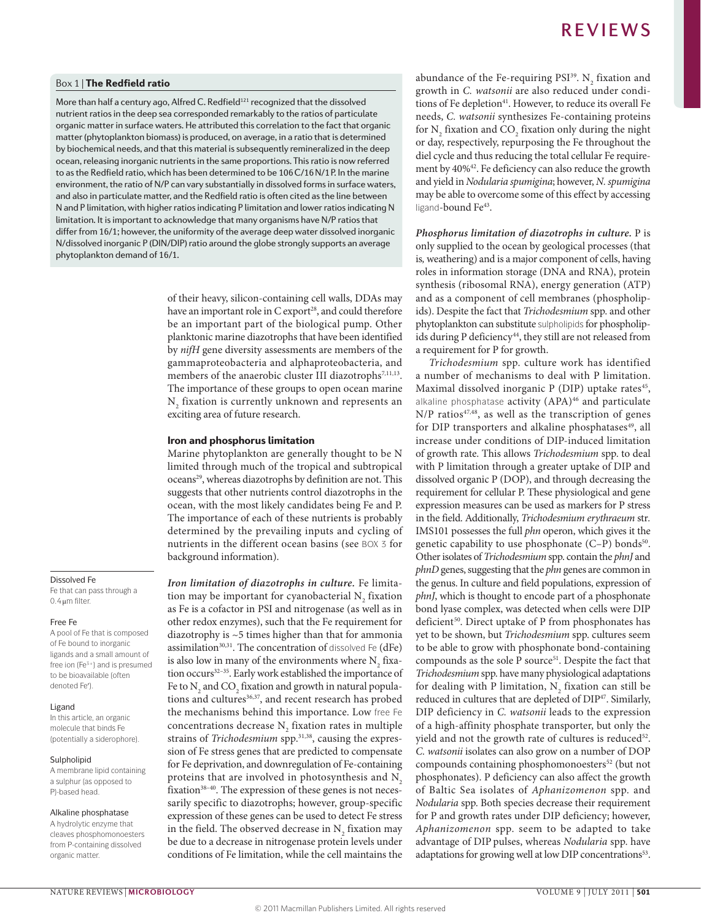## Box 1 | The Redfield ratio

More than half a century ago, Alfred C. Redfield $^{121}$  recognized that the dissolved nutrient ratios in the deep sea corresponded remarkably to the ratios of particulate organic matter in surface waters. He attributed this correlation to the fact that organic matter (phytoplankton biomass) is produced, on average, in a ratio that is determined by biochemical needs, and that this material is subsequently remineralized in the deep ocean, releasing inorganic nutrients in the same proportions. This ratio is now referred to as the Redfield ratio, which has been determined to be 106C/16N/1P. In the marine environment, the ratio of N/P can vary substantially in dissolved forms in surface waters, and also in particulate matter, and the Redfield ratio is often cited as the line between N and P limitation, with higher ratios indicating P limitation and lower ratios indicating N limitation. It is important to acknowledge that many organisms have N/P ratios that differ from 16/1; however, the uniformity of the average deep water dissolved inorganic N/dissolved inorganic P (DIN/DIP) ratio around the globe strongly supports an average phytoplankton demand of 16/1.

> of their heavy, silicon-containing cell walls, DDAs may have an important role in C export<sup>28</sup>, and could therefore be an important part of the biological pump. Other planktonic marine diazotrophs that have been identified by *nifH* gene diversity assessments are members of the gammaproteobacteria and alphaproteobacteria, and members of the anaerobic cluster III diazotrophs<sup>7,11,13</sup>. The importance of these groups to open ocean marine  $N<sub>2</sub>$  fixation is currently unknown and represents an exciting area of future research.

## Iron and phosphorus limitation

Marine phytoplankton are generally thought to be N limited through much of the tropical and subtropical oceans<sup>29</sup>, whereas diazotrophs by definition are not. This suggests that other nutrients control diazotrophs in the ocean, with the most likely candidates being Fe and P. The importance of each of these nutrients is probably determined by the prevailing inputs and cycling of nutrients in the different ocean basins (see BOX 3 for background information).

*Iron limitation of diazotrophs in culture.* Fe limitation may be important for cyanobacterial  $N_2$  fixation as Fe is a cofactor in PSI and nitrogenase (as well as in other redox enzymes), such that the Fe requirement for diazotrophy is ~5 times higher than that for ammonia assimilation $30,31$ . The concentration of dissolved Fe (dFe) is also low in many of the environments where  $N_2$  fixation occurs<sup>32-35</sup>. Early work established the importance of Fe to  $\text{N}_\text{2}$  and  $\text{CO}_\text{2}$  fixation and growth in natural populations and cultures<sup>36,37</sup>, and recent research has probed the mechanisms behind this importance. Low free Fe concentrations decrease  $N<sub>2</sub>$  fixation rates in multiple strains of *Trichodesmium* spp.<sup>31,38</sup>, causing the expression of Fe stress genes that are predicted to compensate for Fe deprivation, and downregulation of Fe-containing proteins that are involved in photosynthesis and  $N<sub>2</sub>$ fixation<sup>38-40</sup>. The expression of these genes is not necessarily specific to diazotrophs; however, group-specific expression of these genes can be used to detect Fe stress in the field. The observed decrease in  $N_{2}$  fixation may be due to a decrease in nitrogenase protein levels under conditions of Fe limitation, while the cell maintains the

abundance of the Fe-requiring  $PSI<sup>39</sup>$ . N<sub>2</sub> fixation and growth in *C. watsonii* are also reduced under conditions of Fe depletion<sup>41</sup>. However, to reduce its overall Fe needs, *C. watsonii* synthesizes Fe-containing proteins for  $N_2$  fixation and  $CO_2$  fixation only during the night or day, respectively, repurposing the Fe throughout the diel cycle and thus reducing the total cellular Fe requirement by 40%<sup>42</sup>. Fe deficiency can also reduce the growth and yield in *Nodularia spumigina*; however, *N. spumigina*  may be able to overcome some of this effect by accessing ligand-bound Fe<sup>43</sup>.

*Phosphorus limitation of diazotrophs in culture.* P is only supplied to the ocean by geological processes (that is*,* weathering) and is a major component of cells, having roles in information storage (DNA and RNA), protein synthesis (ribosomal RNA), energy generation (ATP) and as a component of cell membranes (phospholipids). Despite the fact that *Trichodesmium* spp. and other phytoplankton can substitute sulpholipids for phospholipids during P deficiency<sup>44</sup>, they still are not released from a requirement for P for growth.

*Trichodesmium* spp. culture work has identified a number of mechanisms to deal with P limitation. Maximal dissolved inorganic P (DIP) uptake rates<sup>45</sup>, alkaline phosphatase activity (APA)<sup>46</sup> and particulate  $N/P$  ratios<sup>47,48</sup>, as well as the transcription of genes for DIP transporters and alkaline phosphatases<sup>49</sup>, all increase under conditions of DIP-induced limitation of growth rate. This allows *Trichodesmium* spp. to deal with P limitation through a greater uptake of DIP and dissolved organic P (DOP), and through decreasing the requirement for cellular P. These physiological and gene expression measures can be used as markers for P stress in the field. Additionally, *Trichodesmium erythraeum* str*.*  IMS101 possesses the full *phn* operon, which gives it the genetic capability to use phosphonate (C–P) bonds<sup>50</sup>. Other isolates of *Trichodesmium* spp. contain the *phnJ* and *phnD* genes, suggesting that the *phn* genes are common in the genus. In culture and field populations, expression of *phnJ*, which is thought to encode part of a phosphonate bond lyase complex, was detected when cells were DIP deficient<sup>50</sup>. Direct uptake of P from phosphonates has yet to be shown, but *Trichodesmium* spp. cultures seem to be able to grow with phosphonate bond-containing compounds as the sole P source<sup>51</sup>. Despite the fact that *Trichodesmium* spp. have many physiological adaptations for dealing with P limitation,  $N_{2}$  fixation can still be reduced in cultures that are depleted of DIP47. Similarly, DIP deficiency in *C. watsonii* leads to the expression of a high-affinity phosphate transporter, but only the yield and not the growth rate of cultures is reduced<sup>52</sup>. *C. watsonii* isolates can also grow on a number of DOP compounds containing phosphomonoesters<sup>52</sup> (but not phosphonates). P deficiency can also affect the growth of Baltic Sea isolates of *Aphanizomenon* spp. and *Nodularia* spp. Both species decrease their requirement for P and growth rates under DIP deficiency; however, *Aphanizomenon* spp. seem to be adapted to take advantage of DIP pulses, whereas *Nodularia* spp. have adaptations for growing well at low DIP concentrations<sup>53</sup>.

## Dissolved Fe

Fe that can pass through a 0.4μm filter.

### Free Fe

A pool of Fe that is composed of Fe bound to inorganic ligands and a small amount of free ion (Fe<sup>3+</sup>) and is presumed to be bioavailable (often denoted Fe′).

#### Ligand

In this article, an organic molecule that binds Fe (potentially a siderophore).

### Sulpholipid

A membrane lipid containing a sulphur (as opposed to P)-based head.

## Alkaline phosphatase

A hydrolytic enzyme that cleaves phosphomonoesters from P-containing dissolved organic matter.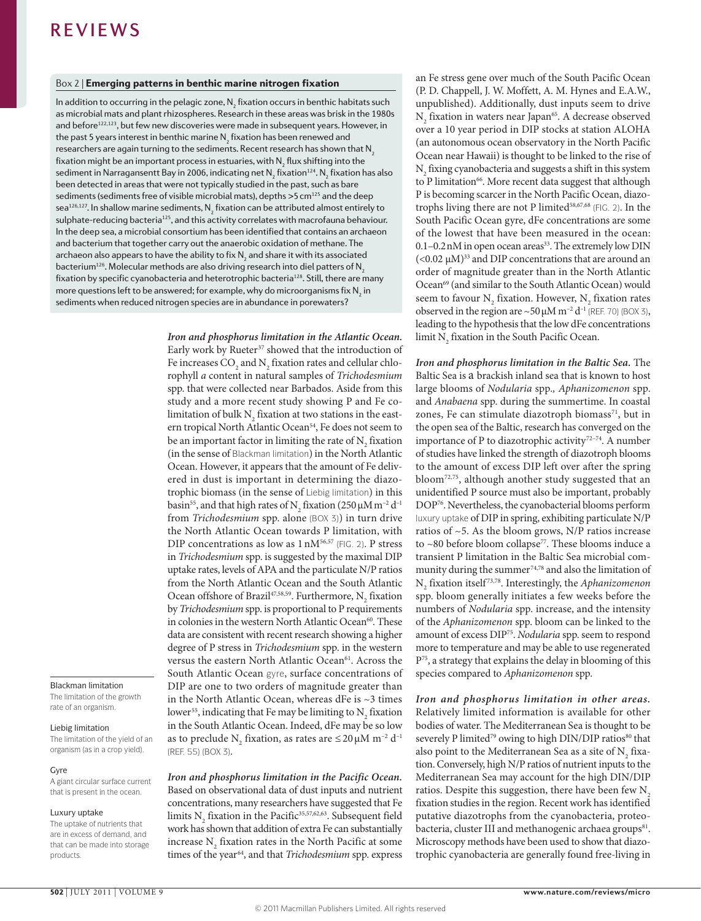## Box 2 | Emerging patterns in benthic marine nitrogen fixation

In addition to occurring in the pelagic zone,  $\mathsf{N}_\mathit{2}$  fixation occurs in benthic habitats such as microbial mats and plant rhizospheres. Research in these areas was brisk in the 1980s and before<sup>122,123</sup>, but few new discoveries were made in subsequent years. However, in the past 5 years interest in benthic marine  $\mathsf{N}_{_{2}}$  fixation has been renewed and researchers are again turning to the sediments. Recent research has shown that  $N<sub>2</sub>$ fixation might be an important process in estuaries, with  $\mathsf{N}_\mathsf{2}$  flux shifting into the sediment in Narragansentt Bay in 2006, indicating net  $\mathsf{N}_\mathsf{2}$  fixation $^\mathsf{124}$ .  $\mathsf{N}_\mathsf{2}$  fixation has also been detected in areas that were not typically studied in the past, such as bare sediments (sediments free of visible microbial mats), depths  $>5$  cm<sup>125</sup> and the deep sea $^{126,127}$ . In shallow marine sediments,  $\mathsf{N}_2^{}$  fixation can be attributed almost entirely to sulphate-reducing bacteria<sup>125</sup>, and this activity correlates with macrofauna behaviour. In the deep sea, a microbial consortium has been identified that contains an archaeon and bacterium that together carry out the anaerobic oxidation of methane. The archaeon also appears to have the ability to fix  $\mathsf{N}_\mathsf{2}$  and share it with its associated bacterium<sup>126</sup>. Molecular methods are also driving research into diel patters of N<sub>2</sub> fixation by specific cyanobacteria and heterotrophic bacteria<sup>128</sup>. Still, there are many more questions left to be answered; for example, why do microorganisms fix  $\mathsf{N}_\mathsf{2}$  in sediments when reduced nitrogen species are in abundance in porewaters?

> *Iron and phosphorus limitation in the Atlantic Ocean.* Early work by Rueter<sup>37</sup> showed that the introduction of Fe increases  $CO_2$  and  $N_2$  fixation rates and cellular chlorophyll *a* content in natural samples of *Trichodesmium* spp. that were collected near Barbados. Aside from this study and a more recent study showing P and Fe colimitation of bulk  $N_{2}$  fixation at two stations in the eastern tropical North Atlantic Ocean<sup>54</sup>, Fe does not seem to be an important factor in limiting the rate of  $N_2$  fixation (in the sense of Blackman limitation) in the North Atlantic Ocean. However, it appears that the amount of Fe delivered in dust is important in determining the diazotrophic biomass (in the sense of Liebig limitation) in this basin<sup>55</sup>, and that high rates of N<sub>2</sub> fixation (250 µM m<sup>-2</sup> d<sup>-1</sup> from *Trichodesmium* spp. alone (BOX 3)) in turn drive the North Atlantic Ocean towards P limitation, with DIP concentrations as low as  $1 \text{ nM}^{56,57}$  (FIG. 2). P stress in *Trichodesmium* spp. is suggested by the maximal DIP uptake rates, levels of APA and the particulate N/P ratios from the North Atlantic Ocean and the South Atlantic Ocean offshore of Brazil<sup>47,58,59</sup>. Furthermore,  $N_2$  fixation by *Trichodesmium* spp. is proportional to P requirements in colonies in the western North Atlantic Ocean<sup>60</sup>. These data are consistent with recent research showing a higher degree of P stress in *Trichodesmium* spp. in the western versus the eastern North Atlantic Ocean<sup>61</sup>. Across the South Atlantic Ocean gyre, surface concentrations of DIP are one to two orders of magnitude greater than in the North Atlantic Ocean, whereas dFe is ~3 times lower<sup>55</sup>, indicating that Fe may be limiting to  $N_2$  fixation in the South Atlantic Ocean. Indeed, dFe may be so low as to preclude  $N_2$  fixation, as rates are  $\leq$  20  $\mu$ M m<sup>-2</sup> d<sup>-1</sup> (REF. 55) (BOX 3).

## *Iron and phosphorus limitation in the Pacific Ocean.* Based on observational data of dust inputs and nutrient concentrations, many researchers have suggested that Fe limits  $N_2$  fixation in the Pacific<sup>35,57,62,63</sup>. Subsequent field work has shown that addition of extra Fe can substantially increase  $N_2$  fixation rates in the North Pacific at some times of the year<sup>64</sup>, and that *Trichodesmium* spp. express

an Fe stress gene over much of the South Pacific Ocean (P. D. Chappell, J. W. Moffett, A. M. Hynes and E.A.W., unpublished). Additionally, dust inputs seem to drive  $N_2$  fixation in waters near Japan<sup>65</sup>. A decrease observed over a 10 year period in DIP stocks at station ALOHA (an autonomous ocean observatory in the North Pacific Ocean near Hawaii) is thought to be linked to the rise of  $N<sub>2</sub>$  fixing cyanobacteria and suggests a shift in this system to P limitation<sup>66</sup>. More recent data suggest that although P is becoming scarcer in the North Pacific Ocean, diazotrophs living there are not P limited<sup>58,67,68</sup> (FIG. 2). In the South Pacific Ocean gyre, dFe concentrations are some of the lowest that have been measured in the ocean: 0.1-0.2nM in open ocean areas<sup>33</sup>. The extremely low DIN  $(<$ 0.02 μM)<sup>33</sup> and DIP concentrations that are around an order of magnitude greater than in the North Atlantic Ocean<sup>69</sup> (and similar to the South Atlantic Ocean) would seem to favour  $N_2$  fixation. However,  $N_2$  fixation rates observed in the region are  $\sim$  50  $\mu$ M m<sup>-2</sup> d<sup>-1</sup> (REF. 70) (BOX 3), leading to the hypothesis that the low dFe concentrations  $\lim$ it  $\mathrm{N}_2$  fixation in the South Pacific Ocean.

*Iron and phosphorus limitation in the Baltic Sea.* The Baltic Sea is a brackish inland sea that is known to host large blooms of *Nodularia* spp.*, Aphanizomenon* spp. and *Anabaena* spp. during the summertime. In coastal zones, Fe can stimulate diazotroph biomass<sup>71</sup>, but in the open sea of the Baltic, research has converged on the importance of P to diazotrophic activity<sup>72-74</sup>. A number of studies have linked the strength of diazotroph blooms to the amount of excess DIP left over after the spring bloom72,75, although another study suggested that an unidentified P source must also be important, probably DOP76. Nevertheless, the cyanobacterial blooms perform luxury uptake of DIP in spring, exhibiting particulate N/P ratios of ~5. As the bloom grows, N/P ratios increase to  $~80$  before bloom collapse<sup>77</sup>. These blooms induce a transient P limitation in the Baltic Sea microbial community during the summer<sup>74,78</sup> and also the limitation of N2 fixation itself 73,78. Interestingly, the *Aphanizomenon* spp. bloom generally initiates a few weeks before the numbers of *Nodularia* spp. increase, and the intensity of the *Aphanizomenon* spp. bloom can be linked to the amount of excess DIP75. *Nodularia* spp. seem to respond more to temperature and may be able to use regenerated P75, a strategy that explains the delay in blooming of this species compared to *Aphanizomenon* spp.

*Iron and phosphorus limitation in other areas.* Relatively limited information is available for other bodies of water. The Mediterranean Sea is thought to be severely P limited<sup>79</sup> owing to high DIN/DIP ratios<sup>80</sup> that also point to the Mediterranean Sea as a site of  $\mathrm{N}_2^{\mathrm{}}$  fixation. Conversely, high N/P ratios of nutrient inputs to the Mediterranean Sea may account for the high DIN/DIP ratios. Despite this suggestion, there have been few N<sub>2</sub> fixation studies in the region. Recent work has identified putative diazotrophs from the cyanobacteria, proteobacteria, cluster III and methanogenic archaea groups<sup>81</sup>. Microscopy methods have been used to show that diazotrophic cyanobacteria are generally found free-living in

## Blackman limitation

The limitation of the growth rate of an organism.

## Liebig limitation

The limitation of the yield of an organism (as in a crop yield).

## Gyre

A giant circular surface current that is present in the ocean.

## Luxury uptake

The uptake of nutrients that are in excess of demand, and that can be made into storage products.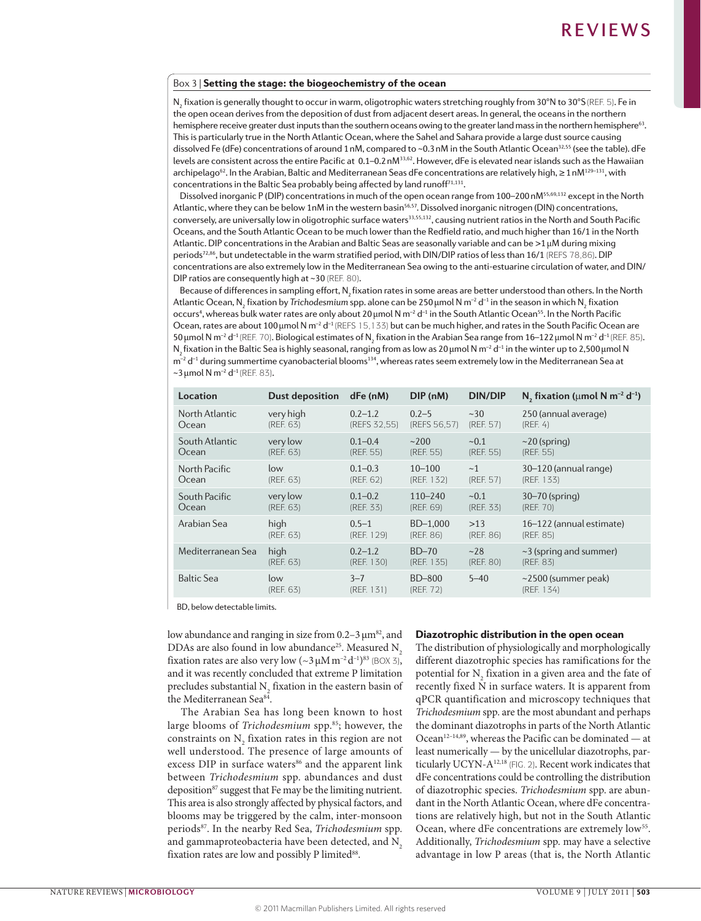## Box 3 | Setting the stage: the biogeochemistry of the ocean

 $\mathsf{N}_2$  fixation is generally thought to occur in warm, oligotrophic waters stretching roughly from 30°N to 30°S (REF. 5). Fe in the open ocean derives from the deposition of dust from adjacent desert areas. In general, the oceans in the northern hemisphere receive greater dust inputs than the southern oceans owing to the greater land mass in the northern hemisphere<sup>63</sup>. This is particularly true in the North Atlantic Ocean, where the Sahel and Sahara provide a large dust source causing dissolved Fe (dFe) concentrations of around 1nM, compared to ~0.3nM in the South Atlantic Ocean<sup>32,55</sup> (see the table). dFe levels are consistent across the entire Pacific at 0.1–0.2 nM<sup>33,62</sup>. However, dFe is elevated near islands such as the Hawaiian archipelago<sup>62</sup>. In the Arabian, Baltic and Mediterranean Seas dFe concentrations are relatively high, ≥1nM<sup>129–131</sup>, with concentrations in the Baltic Sea probably being affected by land runoff<sup>71,131</sup>.

Dissolved inorganic P (DIP) concentrations in much of the open ocean range from 100–200 nM<sup>55,69,132</sup> except in the North Atlantic, where they can be below 1nM in the western basin<sup>56,57</sup>. Dissolved inorganic nitrogen (DIN) concentrations, conversely, are universally low in oligotrophic surface waters<sup>33,55,132</sup>, causing nutrient ratios in the North and South Pacific Oceans, and the South Atlantic Ocean to be much lower than the Redfield ratio, and much higher than 16/1 in the North Atlantic. DIP concentrations in the Arabian and Baltic Seas are seasonally variable and can be >1μM during mixing periods72,86, but undetectable in the warm stratified period, with DIN/DIP ratios of less than 16/1 (REFS 78,86). DIP concentrations are also extremely low in the Mediterranean Sea owing to the anti-estuarine circulation of water, and DIN/ DIP ratios are consequently high at ~30 (REF. 80).

Because of differences in sampling effort, N<sub>2</sub> fixation rates in some areas are better understood than others. In the North Atlantic Ocean, N<sub>2</sub> fixation by *Trichodesmium* spp. alone can be 250 μmol N m<sup>-2</sup> d<sup>-1</sup> in the season in which N<sub>2</sub> fixation occurs<sup>4</sup>, whereas bulk water rates are only about 20 μmol N m<sup>-2</sup> d<sup>-1</sup> in the South Atlantic Ocean<sup>55</sup>. In the North Pacific Ocean, rates are about 100 µmol N m<sup>-2</sup> d<sup>-1</sup> (REFS 15,133) but can be much higher, and rates in the South Pacific Ocean are 50 μmol N m<sup>-2</sup> d<sup>-1</sup> (REF. 70). Biological estimates of N<sub>2</sub> fixation in the Arabian Sea range from 16–122 μmol N m<sup>-2</sup> d<sup>-1</sup> (REF. 85). N<sub>2</sub> fixation in the Baltic Sea is highly seasonal, ranging from as low as 20 μmol N m<sup>-2</sup> d<sup>-1</sup> in the winter up to 2,500 μmol N  $m^{-2}$  d<sup>-1</sup> during summertime cyanobacterial blooms<sup>134</sup>, whereas rates seem extremely low in the Mediterranean Sea at  $\sim$ 3 μmol N m<sup>-2</sup> d<sup>-1</sup> (REF. 83).

| Location          | Dust deposition  | $dFe$ (nM)            | DIP (nM)            | <b>DIN/DIP</b> | $N_2$ fixation ( $\mu$ mol N m <sup>-2</sup> d <sup>-1</sup> ) |
|-------------------|------------------|-----------------------|---------------------|----------------|----------------------------------------------------------------|
| North Atlantic    | very high        | $0.2 - 1.2$           | $0.2 - 5$           | ~230           | 250 (annual average)                                           |
| Ocean             | (REF. 63)        | (REFS 32,55)          | (REFS 56.57)        | (REF. 57)      | (REF, 4)                                                       |
| South Atlantic    | very low         | $0.1 - 0.4$           | ~200                | ~1             | $\sim$ 20 (spring)                                             |
| Ocean             | (REF. 63)        | (REF. 55)             | (REF. 55)           | (REF. 55)      | (REF. 55)                                                      |
| North Pacific     | low              | $0.1 - 0.3$           | $10 - 100$          | ~1             | 30–120 (annual range)                                          |
| Ocean             | (REF. 63)        | (REF. 62)             | (REF. 132)          | (REF. 57)      | (REF. 133)                                                     |
| South Pacific     | very low         | $0.1 - 0.2$           | $110 - 240$         | ~1             | $30 - 70$ (spring)                                             |
| Ocean             | (REF. 63)        | (REF. 33)             | (REF. 69)           | (REF. 33)      | (REF. 70)                                                      |
| Arabian Sea       | high             | $0.5 - 1$             | $BD-1.000$          | >13            | 16-122 (annual estimate)                                       |
|                   | (REF. 63)        | (REF. 129)            | (REF. 86)           | (REF. 86)      | (REF. 85)                                                      |
| Mediterranean Sea | high             | $0.2 - 1.2$           | $BD-70$             | ~28            | $\sim$ 3 (spring and summer)                                   |
|                   | (REF. 63)        | (REF. 130)            | (REF. 135)          | (REF. 80)      | (REF. 83)                                                      |
| <b>Baltic Sea</b> | low<br>(REF. 63) | $3 - 7$<br>(REF. 131) | BD-800<br>(REF. 72) | $5 - 40$       | $\sim$ 2500 (summer peak)<br>(REF. 134)                        |

BD, below detectable limits.

low abundance and ranging in size from  $0.2-3 \mu m^{82}$ , and DDAs are also found in low abundance<sup>25</sup>. Measured N<sub>2</sub> fixation rates are also very low  $(\sim 3 \,\mu\text{M m}^{-2}\text{d}^{-1})^{83}$  (BOX 3), and it was recently concluded that extreme P limitation precludes substantial  $N_{2}$  fixation in the eastern basin of the Mediterranean Sea<sup>84</sup>.

The Arabian Sea has long been known to host large blooms of *Trichodesmium* spp.<sup>85</sup>; however, the constraints on  $N_2$  fixation rates in this region are not well understood. The presence of large amounts of excess DIP in surface waters<sup>86</sup> and the apparent link between *Trichodesmium* spp. abundances and dust deposition<sup>87</sup> suggest that Fe may be the limiting nutrient. This area is also strongly affected by physical factors, and blooms may be triggered by the calm, inter-monsoon periods87. In the nearby Red Sea, *Trichodesmium* spp. and gammaproteobacteria have been detected, and N<sub>2</sub> fixation rates are low and possibly P limited<sup>88</sup>.

## Diazotrophic distribution in the open ocean

The distribution of physiologically and morphologically different diazotrophic species has ramifications for the potential for  $N_2$  fixation in a given area and the fate of recently fixed N in surface waters. It is apparent from qPCR quantification and microscopy techniques that *Trichodesmium* spp. are the most abundant and perhaps the dominant diazotrophs in parts of the North Atlantic Ocean<sup>12-14,89</sup>, whereas the Pacific can be dominated — at least numerically — by the unicellular diazotrophs, particularly UCYN-A12,18 (FIG. 2). Recent work indicates that dFe concentrations could be controlling the distribution of diazotrophic species. *Trichodesmium* spp. are abundant in the North Atlantic Ocean, where dFe concentrations are relatively high, but not in the South Atlantic Ocean, where dFe concentrations are extremely low<sup>55</sup>. Additionally, *Trichodesmium* spp. may have a selective advantage in low P areas (that is, the North Atlantic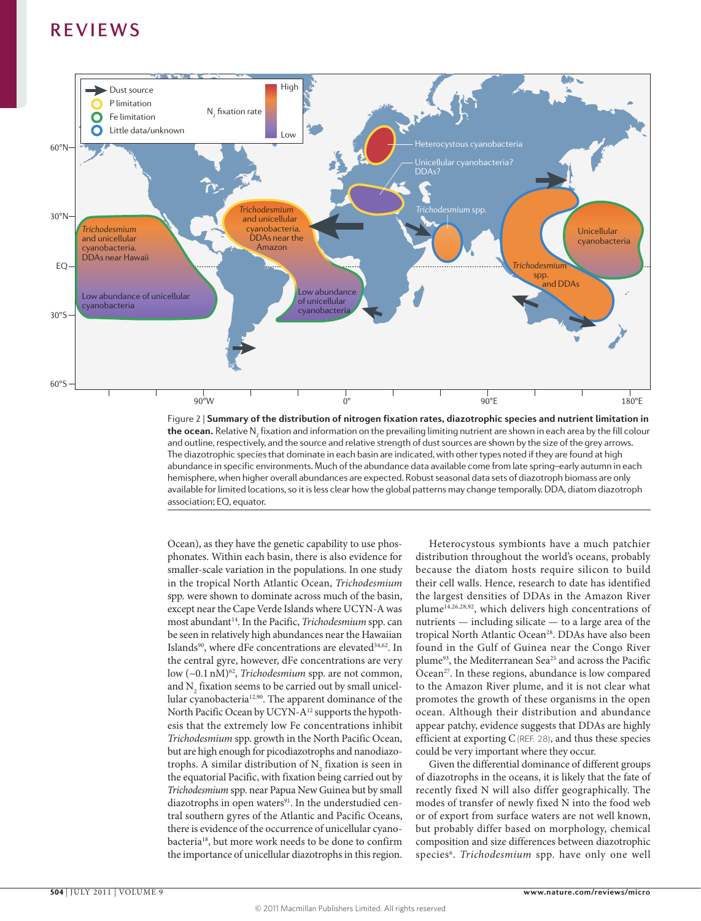

the ocean. Relative N<sub>2</sub> fixation and information on the prevailing limiting nutrient are shown in each area by the fill colour Figure 2 | **Summary of the distribution of nitrogen fixation rates, diazotrophic species and nutrient limitation in**  and outline, respectively, and the source and relative strength of dust sources are shown by the size of the grey arrows. The diazotrophic species that dominate in each basin are indicated, with other types noted if they are found at high abundance in specific environments. Much of the abundance data available come from late spring–early autumn in each hemisphere, when higher overall abundances are expected. Robust seasonal data sets of diazotroph biomass are only available for limited locations, so it is less clear how the global patterns may change temporally. DDA, diatom diazotroph association; EQ, equator.

Ocean), as they have the genetic capability to use phosphonates. Within each basin, there is also evidence for smaller-scale variation in the populations. In one study in the tropical North Atlantic Ocean, *Trichodesmium* spp. were shown to dominate across much of the basin, except near the Cape Verde Islands where UCYN-A was most abundant<sup>14</sup>. In the Pacific, *Trichodesmium* spp. can be seen in relatively high abundances near the Hawaiian Islands<sup>90</sup>, where dFe concentrations are elevated<sup>34,62</sup>. In the central gyre, however, dFe concentrations are very low (~0.1 nM)<sup>62</sup>, *Trichodesmium* spp. are not common, and  $\mathrm{N}_\mathrm{2}$  fixation seems to be carried out by small unicellular cyanobacteria12,90. The apparent dominance of the North Pacific Ocean by UCYN-A12 supports the hypothesis that the extremely low Fe concentrations inhibit *Trichodesmium* spp. growth in the North Pacific Ocean, but are high enough for picodiazotrophs and nanodiazotrophs. A similar distribution of  $N_2$  fixation is seen in the equatorial Pacific, with fixation being carried out by *Trichodesmium* spp. near Papua New Guinea but by small diazotrophs in open waters $91$ . In the understudied central southern gyres of the Atlantic and Pacific Oceans, there is evidence of the occurrence of unicellular cyanobacteria<sup>18</sup>, but more work needs to be done to confirm the importance of unicellular diazotrophs in this region.

Heterocystous symbionts have a much patchier distribution throughout the world's oceans, probably because the diatom hosts require silicon to build their cell walls. Hence, research to date has identified the largest densities of DDAs in the Amazon River plume14,26,28,92, which delivers high concentrations of nutrients — including silicate — to a large area of the tropical North Atlantic Ocean<sup>28</sup>. DDAs have also been found in the Gulf of Guinea near the Congo River plume93, the Mediterranean Sea25 and across the Pacific Ocean<sup>27</sup>. In these regions, abundance is low compared to the Amazon River plume, and it is not clear what promotes the growth of these organisms in the open ocean. Although their distribution and abundance appear patchy, evidence suggests that DDAs are highly efficient at exporting C(REF. 28), and thus these species could be very important where they occur.

Given the differential dominance of different groups of diazotrophs in the oceans, it is likely that the fate of recently fixed N will also differ geographically. The modes of transfer of newly fixed N into the food web or of export from surface waters are not well known, but probably differ based on morphology, chemical composition and size differences between diazotrophic species<sup>6</sup>. Trichodesmium spp. have only one well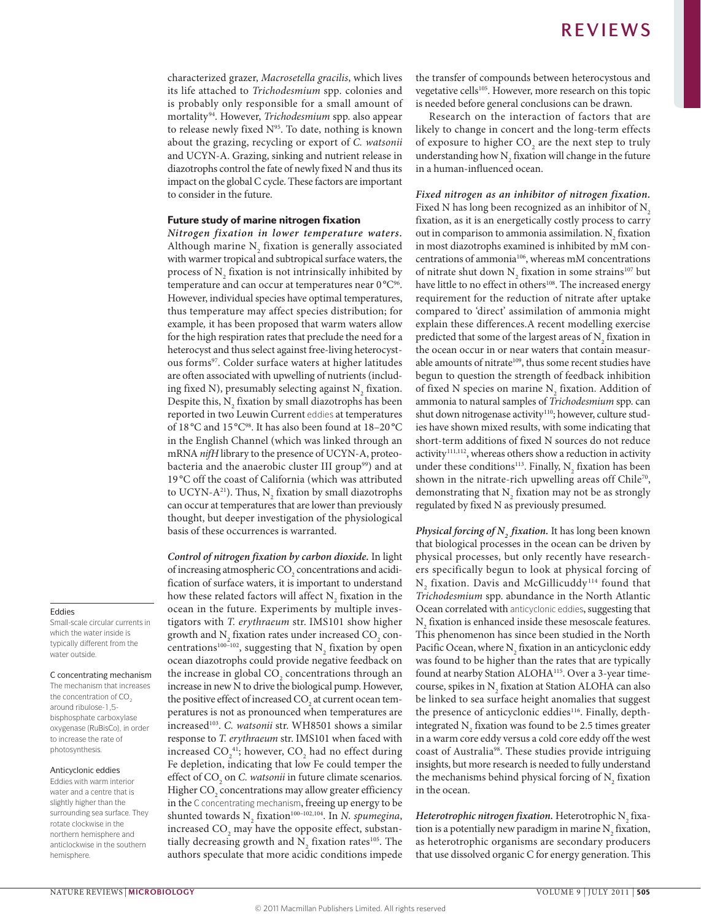characterized grazer, *Macrosetella gracilis*, which lives its life attached to *Trichodesmium* spp*.* colonies and is probably only responsible for a small amount of mortality94. However, *Trichodesmium* spp. also appear to release newly fixed  $N<sup>95</sup>$ . To date, nothing is known about the grazing, recycling or export of *C. watsonii*  and UCYN-A. Grazing, sinking and nutrient release in diazotrophs control the fate of newly fixed N and thus its impact on the global C cycle. These factors are important to consider in the future.

## Future study of marine nitrogen fixation

*Nitrogen fixation in lower temperature waters.* Although marine  $N_2$  fixation is generally associated with warmer tropical and subtropical surface waters, the process of  $N_2$  fixation is not intrinsically inhibited by temperature and can occur at temperatures near  $0^{\circ}C^{96}$ . However, individual species have optimal temperatures, thus temperature may affect species distribution; for example*,* it has been proposed that warm waters allow for the high respiration rates that preclude the need for a heterocyst and thus select against free-living heterocystous forms<sup>97</sup>. Colder surface waters at higher latitudes are often associated with upwelling of nutrients (including fixed N), presumably selecting against  $N_2$  fixation. Despite this,  $N_2$  fixation by small diazotrophs has been reported in two Leuwin Current eddies at temperatures of 18 °C and 15 °C<sup>98</sup>. It has also been found at 18-20 °C in the English Channel (which was linked through an mRNA *nifH* library to the presence of UCYN-A, proteobacteria and the anaerobic cluster III group<sup>99</sup>) and at 19 °C off the coast of California (which was attributed to UCYN-A<sup>21</sup>). Thus, N<sub>2</sub> fixation by small diazotrophs can occur at temperatures that are lower than previously thought, but deeper investigation of the physiological basis of these occurrences is warranted.

*Control of nitrogen fixation by carbon dioxide.* In light of increasing atmospheric  $\text{CO}_2$  concentrations and acidification of surface waters, it is important to understand how these related factors will affect  $N_2$  fixation in the ocean in the future. Experiments by multiple investigators with *T. erythraeum* str. IMS101 show higher growth and  $\mathrm{N}_\mathrm{2}$  fixation rates under increased CO<sub>2</sub> concentrations<sup>100–102</sup>, suggesting that  $N_2$  fixation by open ocean diazotrophs could provide negative feedback on the increase in global  $\mathrm{CO}_2$  concentrations through an increase in new N to drive the biological pump. However, the positive effect of increased  $\mathrm{CO}_2$  at current ocean temperatures is not as pronounced when temperatures are increased<sup>103</sup>. *C. watsonii* str. WH8501 shows a similar response to *T. erythraeum* str. IMS101 when faced with increased  $\mathrm{CO}_2^{-41}$ ; however,  $\mathrm{CO}_2$  had no effect during Fe depletion, indicating that low Fe could temper the effect of CO<sub>2</sub> on *C. watsonii* in future climate scenarios. Higher  $\mathrm{CO}_2$  concentrations may allow greater efficiency in the C concentrating mechanism, freeing up energy to be shunted towards N<sub>2</sub> fixation<sup>100–102,104</sup>. In *N. spumegina*, increased  $\mathrm{CO}_\mathrm{2}$  may have the opposite effect, substantially decreasing growth and  $N_2$  fixation rates<sup>105</sup>. The authors speculate that more acidic conditions impede the transfer of compounds between heterocystous and vegetative cells<sup>105</sup>. However, more research on this topic is needed before general conclusions can be drawn.

Research on the interaction of factors that are likely to change in concert and the long-term effects of exposure to higher  $CO<sub>2</sub>$  are the next step to truly understanding how  $N_2$  fixation will change in the future in a human-influenced ocean.

*Fixed nitrogen as an inhibitor of nitrogen fixation.* Fixed N has long been recognized as an inhibitor of N<sub>2</sub> fixation, as it is an energetically costly process to carry out in comparison to ammonia assimilation.  $N_2$  fixation in most diazotrophs examined is inhibited by mM concentrations of ammonia106, whereas mM concentrations of nitrate shut down  $N_2$  fixation in some strains<sup>107</sup> but have little to no effect in others<sup>108</sup>. The increased energy requirement for the reduction of nitrate after uptake compared to 'direct' assimilation of ammonia might explain these differences.A recent modelling exercise predicted that some of the largest areas of  $N_2$  fixation in the ocean occur in or near waters that contain measurable amounts of nitrate<sup>109</sup>, thus some recent studies have begun to question the strength of feedback inhibition of fixed N species on marine  $N_2$  fixation. Addition of ammonia to natural samples of *Trichodesmium* spp. can shut down nitrogenase activity<sup>110</sup>; however, culture studies have shown mixed results, with some indicating that short-term additions of fixed N sources do not reduce activity<sup>111,112</sup>, whereas others show a reduction in activity under these conditions<sup>113</sup>. Finally,  $N_2$  fixation has been shown in the nitrate-rich upwelling areas off Chile<sup>70</sup>, demonstrating that  $N_2$  fixation may not be as strongly regulated by fixed N as previously presumed.

*Physical forcing of N2 fixation.* It has long been known that biological processes in the ocean can be driven by physical processes, but only recently have researchers specifically begun to look at physical forcing of  $N_2$  fixation. Davis and McGillicuddy<sup>114</sup> found that *Trichodesmium* spp. abundance in the North Atlantic Ocean correlated with anticyclonic eddies, suggesting that  $\mathrm{N}_2$  fixation is enhanced inside these mesoscale features. This phenomenon has since been studied in the North Pacific Ocean, where  $N_2$  fixation in an anticyclonic eddy was found to be higher than the rates that are typically found at nearby Station ALOHA115. Over a 3-year timecourse, spikes in  $N_2$  fixation at Station ALOHA can also be linked to sea surface height anomalies that suggest the presence of anticyclonic eddies<sup>116</sup>. Finally, depthintegrated  $N_2$  fixation was found to be 2.5 times greater in a warm core eddy versus a cold core eddy off the west coast of Australia98. These studies provide intriguing insights, but more research is needed to fully understand the mechanisms behind physical forcing of  $N_2$  fixation in the ocean.

 $Heterotrophic$   $nitrogen$   $fixation$ . Heterotrophic  $\mathrm{N}_2$  fixation is a potentially new paradigm in marine  $N_2$  fixation, as heterotrophic organisms are secondary producers that use dissolved organic C for energy generation. This

### Eddies

Small-scale circular currents in which the water inside is typically different from the water outside.

### C concentrating mechanism

The mechanism that increases the concentration of  $CO<sub>2</sub>$ around ribulose-1,5 bisphosphate carboxylase oxygenase (RuBisCo), in order to increase the rate of photosynthesis.

#### Anticyclonic eddies

Eddies with warm interior water and a centre that is slightly higher than the surrounding sea surface. They rotate clockwise in the northern hemisphere and anticlockwise in the southern hemisphere.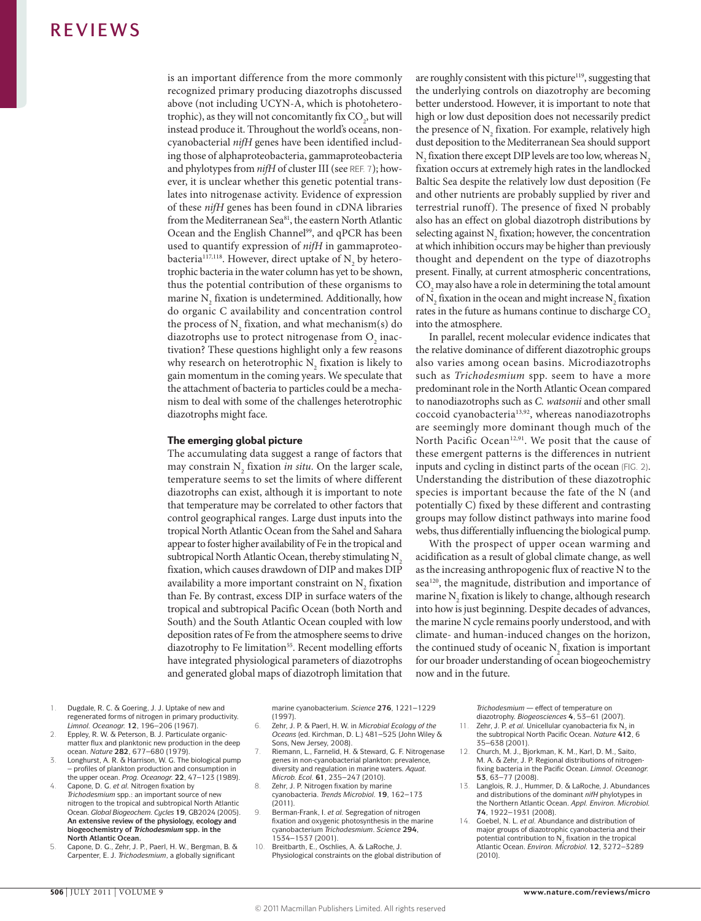is an important difference from the more commonly recognized primary producing diazotrophs discussed above (not including UCYN-A, which is photoheterotrophic), as they will not concomitantly fix  $CO_2$ , but will instead produce it. Throughout the world's oceans, noncyanobacterial *nifH* genes have been identified including those of alphaproteobacteria, gammaproteobacteria and phylotypes from *nifH* of cluster III (see REF. 7); however, it is unclear whether this genetic potential translates into nitrogenase activity. Evidence of expression of these *nifH* genes has been found in cDNA libraries from the Mediterranean Sea<sup>81</sup>, the eastern North Atlantic Ocean and the English Channel<sup>99</sup>, and qPCR has been used to quantify expression of *nifH* in gammaproteobacteria<sup>117,118</sup>. However, direct uptake of  $N_{2}$  by heterotrophic bacteria in the water column has yet to be shown, thus the potential contribution of these organisms to marine  $N_2$  fixation is undetermined. Additionally, how do organic C availability and concentration control the process of  $N_2$  fixation, and what mechanism(s) do diazotrophs use to protect nitrogenase from  $O_2$  inactivation? These questions highlight only a few reasons why research on heterotrophic  $N_{2}$  fixation is likely to gain momentum in the coming years. We speculate that the attachment of bacteria to particles could be a mechanism to deal with some of the challenges heterotrophic diazotrophs might face.

## The emerging global picture

The accumulating data suggest a range of factors that may constrain N<sub>2</sub> fixation *in situ*. On the larger scale, temperature seems to set the limits of where different diazotrophs can exist, although it is important to note that temperature may be correlated to other factors that control geographical ranges. Large dust inputs into the tropical North Atlantic Ocean from the Sahel and Sahara appear to foster higher availability of Fe in the tropical and subtropical North Atlantic Ocean, thereby stimulating N<sub>2</sub> fixation, which causes drawdown of DIP and makes DIP availability a more important constraint on  $N_2$  fixation than Fe. By contrast, excess DIP in surface waters of the tropical and subtropical Pacific Ocean (both North and South) and the South Atlantic Ocean coupled with low deposition rates of Fe from the atmosphere seems to drive diazotrophy to Fe limitation<sup>55</sup>. Recent modelling efforts have integrated physiological parameters of diazotrophs and generated global maps of diazotroph limitation that are roughly consistent with this picture<sup>119</sup>, suggesting that the underlying controls on diazotrophy are becoming better understood. However, it is important to note that high or low dust deposition does not necessarily predict the presence of  $N_2$  fixation. For example, relatively high dust deposition to the Mediterranean Sea should support  $N_2$  fixation there except DIP levels are too low, whereas  $N_2$ fixation occurs at extremely high rates in the landlocked Baltic Sea despite the relatively low dust deposition (Fe and other nutrients are probably supplied by river and terrestrial runoff). The presence of fixed N probably also has an effect on global diazotroph distributions by selecting against  $N_2$  fixation; however, the concentration at which inhibition occurs may be higher than previously thought and dependent on the type of diazotrophs present. Finally, at current atmospheric concentrations,  $CO<sub>2</sub>$  may also have a role in determining the total amount of  $N_2$  fixation in the ocean and might increase  $N_2$  fixation rates in the future as humans continue to discharge CO<sub>2</sub> into the atmosphere.

In parallel, recent molecular evidence indicates that the relative dominance of different diazotrophic groups also varies among ocean basins. Microdiazotrophs such as *Trichodesmium* spp. seem to have a more predominant role in the North Atlantic Ocean compared to nanodiazotrophs such as *C. watsonii* and other small coccoid cyanobacteria13,92, whereas nanodiazotrophs are seemingly more dominant though much of the North Pacific Ocean<sup>12,91</sup>. We posit that the cause of these emergent patterns is the differences in nutrient inputs and cycling in distinct parts of the ocean (FIG. 2). Understanding the distribution of these diazotrophic species is important because the fate of the N (and potentially C) fixed by these different and contrasting groups may follow distinct pathways into marine food webs, thus differentially influencing the biological pump.

With the prospect of upper ocean warming and acidification as a result of global climate change, as well as the increasing anthropogenic flux of reactive N to the sea<sup>120</sup>, the magnitude, distribution and importance of marine  $N_2$  fixation is likely to change, although research into how is just beginning. Despite decades of advances, the marine N cycle remains poorly understood, and with climate- and human-induced changes on the horizon, the continued study of oceanic  $N_2$  fixation is important for our broader understanding of ocean biogeochemistry now and in the future.

- 1. Dugdale, R. C. & Goering, J. J. Uptake of new and regenerated forms of nitrogen in primary productivity. *Limnol. Oceanogr.* **12**, 196–206 (1967).
- Eppley, R. W. & Peterson, B. J. Particulate organicmatter flux and planktonic new production in the deep ocean. *Nature* **282**, 677–680 (1979).
- 3. Longhurst, A. R. & Harrison, W. G. The biological pump – profiles of plankton production and consumption in the upper ocean. *Prog. Oceanogr.* **22**, 47–123 (1989). Capone, D. G. et al. Nitrogen fixation by
- *Trichodesmium* spp.: an important source of new nitrogen to the tropical and subtropical North Atlantic Ocean. *Global Biogeochem. Cycles* **19**, GB2024 (2005). **An extensive review of the physiology, ecology and biogeochemistry of** *Trichodesmium* **spp. in the North Atlantic Ocean.**
- 5. Capone, D. G., Zehr, J. P., Paerl, H. W., Bergman, B. & Carpenter, E. J. *Trichodesmium*, a globally significant

marine cyanobacterium. *Science* **276**, 1221–1229 (1997).

- 6. Zehr, J. P. & Paerl, H. W. in *Microbial Ecology of the Oceans* (ed. Kirchman, D. L.) 481–525 (John Wiley & Sons, New Jersey, 2008).
- 7. Riemann, L., Farnelid, H. & Steward, G. F. Nitrogenase genes in non-cyanobacterial plankton: prevalence, diversity and regulation in marine waters. *Aquat. Microb. Ecol.* **61**, 235–247 (2010).
- 8. Zehr, J. P. Nitrogen fixation by marine cyanobacteria. *Trends Microbiol.* **19**, 162–173 (2011).
- 9. Berman-Frank, I. *et al.* Segregation of nitrogen fixation and oxygenic photosynthesis in the marine cyanobacterium *Trichodesmium*. *Science* **294**, 1534–1537 (2001).
- 10. Breitbarth, E., Oschlies, A. & LaRoche, J. Physiological constraints on the global distribution of

*Trichodesmium* — effect of temperature on

- diazotrophy. *Biogeosciences* **4**, 53–61 (2007).<br>11. Zehr, J. P. *et al.* Unicellular cyanobacteria fix N<sub>2</sub> in the subtropical North Pacific Ocean. *Nature* **412**, 6 35–638 (2001).
- 12. Church, M. J., Bjorkman, K. M., Karl, D. M., Saito, M. A. & Zehr, J. P. Regional distributions of nitrogenfixing bacteria in the Pacific Ocean. *Limnol. Oceanogr.*  **53**, 63–77 (2008).
- 13. Langlois, R. J., Hummer, D. & LaRoche, J. Abundances and distributions of the dominant *nifH* phylotypes in the Northern Atlantic Ocean. *Appl. Environ. Microbiol.* **74**, 1922–1931 (2008).
- 14. Goebel, N. L. *et al.* Abundance and distribution of major groups of diazotrophic cyanobacteria and their potential contribution to  $N<sub>2</sub>$  fixation in the tropical Atlantic Ocean. *Environ. Microbiol.* **12**, 3272–3289 (2010).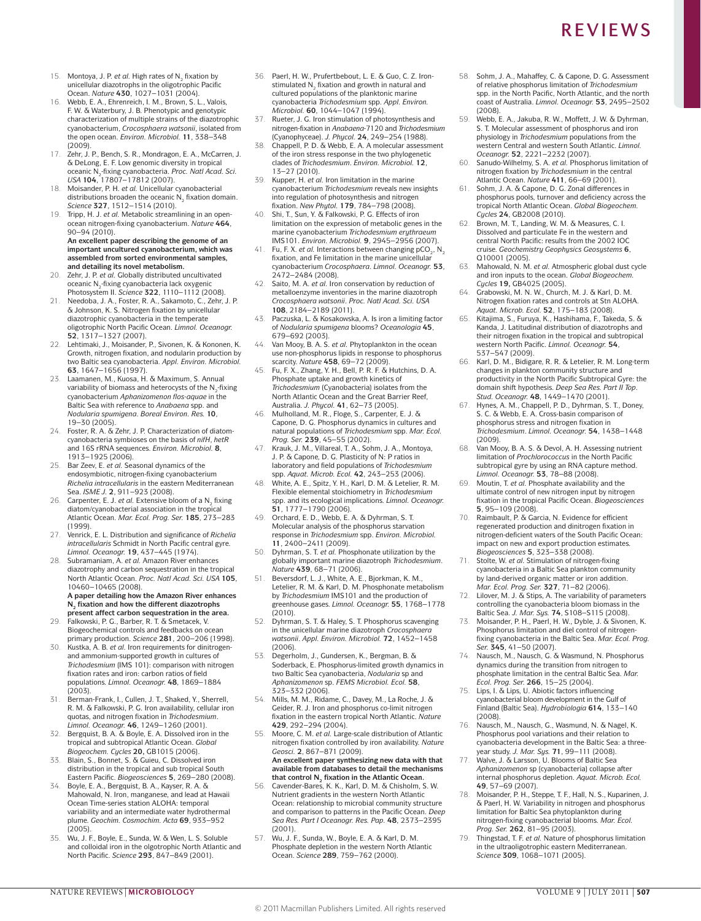- 15. Montoya, J. P. et al. High rates of N<sub>2</sub> fixation by unicellular diazotrophs in the oligotrophic Pacific Ocean. *Nature* **430**, 1027–1031 (2004).
- 16. Webb, E. A., Ehrenreich, I. M., Brown, S. L., Valois, F. W. & Waterbury, J. B. Phenotypic and genotypic characterization of multiple strains of the diazotrophic cyanobacterium, *Crocosphaera watsonii*, isolated from the open ocean. *Environ. Microbiol.* **11**, 338–348  $(2009)$
- 17. Zehr, J. P., Bench, S. R., Mondragon, E. A., McCarren, J. & DeLong, E. F. Low genomic diversity in tropical oceanic N2-fixing cyanobacteria. *Proc. Natl Acad. Sci. USA* **104**, 17807–17812 (2007).
- 18. Moisander, P. H. *et al.* Unicellular cyanobacterial distributions broaden the oceanic N<sub>2</sub> fixation domain. *Science* **327**, 1512–1514 (2010).
- 19. Tripp, H. J. *et al.* Metabolic streamlining in an openocean nitrogen-fixing cyanobacterium. *Nature* **464**, 90–94 (2010). **An excellent paper describing the genome of an important uncultured cyanobacterium, which was**

**assembled from sorted environmental samples, and detailing its novel metabolism.** 20. Zehr, J. P. *et al.* Globally distributed uncultivated

- oceanic  $N_2$ -fixing cyanobacteria lack oxygenic Photosystem II. *Science* **322**, 1110–1112 (2008). 21. Needoba, J. A., Foster, R. A., Sakamoto, C., Zehr, J. P.
- & Johnson, K. S. Nitrogen fixation by unicellular diazotrophic cyanobacteria in the temperate oligotrophic North Pacific Ocean. *Limnol. Oceanogr.* **52**, 1317–1327 (2007).
- 22. Lehtimaki, J., Moisander, P., Sivonen, K. & Kononen, K. Growth, nitrogen fixation, and nodularin production by two Baltic sea cyanobacteria. *Appl. Environ. Microbiol.*  **63**, 1647–1656 (1997).
- 23. Laamanen, M., Kuosa, H. & Maximum, S. Annual variability of biomass and heterocysts of the N<sub>2</sub>-fixing<br>cyanobacterium *Aphanizomenon flos-aquae* in the Baltic Sea with reference to *Anabaena* spp. and *Nodularia spumigena*. *Boreal Environ. Res.* **10**, 19–30 (2005).
- 24. Foster, R. A. & Zehr, J. P. Characterization of diatom-cyanobacteria symbioses on the basis of *nifH*, *hetR* and 16S rRNA sequences. *Environ. Microbiol.* **8**, 1913–1925 (2006).
- 25. Bar Zeev, E. *et al.* Seasonal dynamics of the endosymbiotic, nitrogen-fixing cyanobacterium *Richelia intracellularis* in the eastern Mediterranean Sea. *ISME J.* **2**, 911–923 (2008).
- Carpenter, E. J. *et al.* Extensive bloom of a N<sub>2</sub> fixing diatom/cyanobacterial association in the tropical Atlantic Ocean. *Mar. Ecol. Prog. Ser.* **185**, 273–283 (1999).
- 27. Venrick, E. L. Distribution and significance of *Richelia intracellularis* Schmidt in North Pacific central gyre. *Limnol. Oceanogr.* **19**, 437–445 (1974).
- 28. Subramaniam, A. *et al.* Amazon River enhances diazotrophy and carbon sequestration in the tropical North Atlantic Ocean. *Proc. Natl Acad. Sci. USA* **105**, 10460–10465 (2008). **A paper detailing how the Amazon River enhances N2 fixation and how the different diazotrophs**
- **present affect carbon sequestration in the area.** 29. Falkowski, P. G., Barber, R. T. & Smetacek, V. Biogeochemical controls and feedbacks on ocean
- primary production. *Science* **281**, 200–206 (1998). Kustka, A. B. *et al.* Iron requirements for dinitrogenand ammonium-supported growth in cultures of *Trichodesmium* (IMS 101): comparison with nitrogen fixation rates and iron: carbon ratios of field populations. *Limnol. Oceanogr.* **48**, 1869–1884 (2003).
- 31. Berman-Frank, I., Cullen, J. T., Shaked, Y., Sherrell, R. M. & Falkowski, P. G. Iron availability, cellular iron quotas, and nitrogen fixation in *Trichodesmium*. *Limnol. Oceanogr.* **46**, 1249–1260 (2001).
- 32. Bergquist, B. A. & Boyle, E. A. Dissolved iron in the tropical and subtropical Atlantic Ocean. *Global Biogeochem. Cycles* **20,** GB1015 (2006).
- 33. Blain, S., Bonnet, S. & Guieu, C. Dissolved iron distribution in the tropical and sub tropical South Eastern Pacific. *Biogeosciences* **5**, 269–280 (2008).
- 34. Boyle, E. A., Bergquist, B. A., Kayser, R. A. & Mahowald, N. Iron, manganese, and lead at Hawaii Ocean Time-series station ALOHA: temporal variability and an intermediate water hydrothermal plume. *Geochim. Cosmochim. Acta* **69**, 933–952  $(2005)$
- 35. Wu, J. F., Boyle, E., Sunda, W. & Wen, L. S. Soluble and colloidal iron in the olgotrophic North Atlantic and North Pacific. *Science* **293**, 847–849 (2001).
- 36. Paerl, H. W., Prufertbebout, L. E. & Guo, C. Z. Ironstimulated N<sub>2</sub> fixation and growth in natural and cultured populations of the planktonic marine cyanobacteria *Trichodesmium* spp. *Appl. Environ. Microbiol.* **60**, 1044–1047 (1994).
- Rueter, J. G. Iron stimulation of photosynthesis and nitrogen-fixation in *Anabaena*-7120 and *Trichodesmium*  (Cyanophyceae). *J. Phycol.* **24**, 249–254 (1988).
- 38. Chappell, P. D. & Webb, E. A. A molecular assessment of the iron stress response in the two phylogenetic clades of *Trichodesmium*. *Environ. Microbiol.* **12**, 13–27 (2010).
- 39. Kupper, H. *et al.* Iron limitation in the marine cyanobacterium *Trichodesmium* reveals new insights into regulation of photosynthesis and nitrogen fixation. *New Phytol.* **179**, 784–798 (2008).
- Shi, T., Sun, Y. & Falkowski, P. G. Effects of iron limitation on the expression of metabolic genes in the marine cyanobacterium *Trichodesmium erythraeum* IMS101. *Environ. Microbiol.* **9**, 2945–2956 (2007).
- 41. Fu, F. X. *et al.* Interactions between changing  $pCO_2$ , N<sub>2</sub> fixation, and Fe limitation in the marine unicellular cyanobacterium *Crocosphaera*. *Limnol. Oceanogr.* **53**, 2472–2484 (2008).
- 42. Saito, M. A. *et al.* Iron conservation by reduction of metalloenzyme inventories in the marine diazotroph *Crocosphaera watsonii*. *Proc. Natl Acad. Sci. USA* **108**, 2184–2189 (2011).
- 43. Paczuska, L. & Kosakowska, A. Is iron a limiting factor of *Nodularia spumigena* blooms? *Oceanologia* **45**, 679–692 (2003).
- 44. Van Mooy, B. A. S. *et al.* Phytoplankton in the ocean use non-phosphorus lipids in response to phosphorus scarcity. *Nature* **458**, 69–72 (2009).
- 45. Fu, F. X., Zhang, Y. H., Bell, P. R. F. & Hutchins, D. A. Phosphate uptake and growth kinetics of *Trichodesmium* (Cyanobacteria) isolates from the North Atlantic Ocean and the Great Barrier Reef, Australia. *J. Phycol.* **41**, 62–73 (2005).
- 46. Mulholland, M. R., Floge, S., Carpenter, E. J. & Capone, D. G. Phosphorus dynamics in cultures and natural populations of *Trichodesmium* spp. *Mar. Ecol. Prog. Ser.* **239**, 45–55 (2002).
- Krauk, J. M., Villareal, T. A., Sohm, J. A., Montoya, J. P. & Capone, D. G. Plasticity of N: P ratios in laboratory and field populations of *Trichodesmium* spp. *Aquat. Microb. Ecol.* **42**, 243–253 (2006).
- 48. White, A. E., Spitz, Y. H., Karl, D. M. & Letelier, R. M. Flexible elemental stoichiometry in *Trichodesmium* spp. and its ecological implications. *Limnol. Oceanogr.* **51**, 1777–1790 (2006).
- 49. Orchard, E. D., Webb, E. A. & Dyhrman, S. T. Molecular analysis of the phosphorus starvation response in *Trichodesmium* spp. *Environ. Microbiol.* **11**, 2400–2411 (2009).
- 50. Dyhrman, S. T. *et al.* Phosphonate utilization by the globally important marine diazotroph *Trichodesmium*.
- *Nature* **439**, 68–71 (2006). 51. Beversdorf, L. J., White, A. E., Bjorkman, K. M., Letelier, R. M. & Karl, D. M. Phosphonate metabolism by *Trichodesmium* IMS101 and the production of greenhouse gases. *Limnol. Oceanogr.* **55**, 1768–1778 (2010).
- 52. Dyhrman, S. T. & Haley, S. T. Phosphorus scavenging in the unicellular marine diazotroph *Crocosphaera watsonii*. *Appl. Environ. Microbiol.* **72**, 1452–1458  $(2006)$
- 53. Degerholm, J., Gundersen, K., Bergman, B. & Soderback, E. Phosphorus-limited growth dynamics in two Baltic Sea cyanobacteria, *Nodularia* sp and *Aphanizomenon* sp. *FEMS Microbiol. Ecol.* **58**, 323–332 (2006).
- 54. Mills, M. M., Ridame, C., Davey, M., La Roche, J. & Geider, R. J. Iron and phosphorus co-limit nitrogen fixation in the eastern tropical North Atlantic. *Nature* **429**, 292–294 (2004).
- 55. Moore, C. M. *et al.* Large-scale distribution of Atlantic nitrogen fixation controlled by iron availability. *Nature Geosci.* **2**, 867–871 (2009). **An excellent paper synthesizing new data with that**
- **available from databases to detail the mechanisms**  that control N<sub>2</sub> fixation in the Atlantic Ocean. 56. Cavender-Bares, K. K., Karl, D. M. & Chisholm, S. W.
- Nutrient gradients in the western North Atlantic Ocean: relationship to microbial community structure and comparison to patterns in the Pacific Ocean. *Deep Sea Res. Part I Oceanogr. Res. Pap.* **48**, 2373–2395  $(2001)$
- 57. Wu, J. F., Sunda, W., Boyle, E. A. & Karl, D. M. Phosphate depletion in the western North Atlantic Ocean. *Science* **289**, 759–762 (2000).
- 58. Sohm, J. A., Mahaffey, C. & Capone, D. G. Assessment of relative phosphorus limitation of *Trichodesmium* spp. in the North Pacific, North Atlantic, and the north coast of Australia. *Limnol. Oceanogr.* **53**, 2495–2502 (2008).
- 59. Webb, E. A., Jakuba, R. W., Moffett, J. W. & Dyhrman, S. T. Molecular assessment of phosphorus and iron physiology in *Trichodesmium* populations from the western Central and western South Atlantic. *Limnol. Oceanogr.* **52**, 2221–2232 (2007).
- 60. Sanudo-Wilhelmy, S. A. *et al.* Phosphorus limitation of nitrogen fixation by *Trichodesmium* in the central Atlantic Ocean. *Nature* **411**, 66–69 (2001).
- 61. Sohm, J. A. & Capone, D. G. Zonal differences in phosphorus pools, turnover and deficiency across the tropical North Atlantic Ocean. *Global Biogeochem. Cycles* **24**, GB2008 (2010).
- 62. Brown, M. T., Landing, W. M. & Measures, C. I. Dissolved and particulate Fe in the western and central North Pacific: results from the 2002 IOC cruise. *Geochemistry Geophysics Geosystems* **6**, Q10001 (2005).
- 63. Mahowald, N. M. *et al.* Atmospheric global dust cycle and iron inputs to the ocean. *Global Biogeochem. Cycles* **19,** GB4025 (2005).
- 64. Grabowski, M. N. W., Church, M. J. & Karl, D. M. Nitrogen fixation rates and controls at Stn ALOHA. *Aquat. Microb. Ecol.* **52**, 175–183 (2008).
- 65. Kitajima, S., Furuya, K., Hashihama, F., Takeda, S. & Kanda, J. Latitudinal distribution of diazotrophs and their nitrogen fixation in the tropical and subtropical western North Pacific. *Limnol. Oceanogr.* **54**, 537–547 (2009).
- 66. Karl, D. M., Bidigare, R. R. & Letelier, R. M. Long-term changes in plankton community structure and productivity in the North Pacific Subtropical Gyre: the domain shift hypothesis. *Deep Sea Res. Part II Top. Stud. Oceanogr.* **48**, 1449–1470 (2001).
- Hynes, A. M., Chappell, P. D., Dyhrman, S. T., Doney, S. C. & Webb, E. A. Cross-basin comparison of phosphorus stress and nitrogen fixation in *Trichodesmium*. *Limnol. Oceanogr.* **54**, 1438–1448 (2009).
- Van Mooy, B. A. S. & Devol, A. H. Assessing nutrient limitation of *Prochlorococcus* in the North Pacific subtropical gyre by using an RNA capture method.
- *Limnol. Oceanogr.* **53**, 78–88 (2008). 69. Moutin, T. *et al.* Phosphate availability and the ultimate control of new nitrogen input by nitrogen fixation in the tropical Pacific Ocean. *Biogeosciences*  **5**, 95–109 (2008).
- 70. Raimbault, P. & Garcia, N. Evidence for efficient regenerated production and dinitrogen fixation in nitrogen-deficient waters of the South Pacific Ocean: impact on new and export production estimates. *Biogeosciences* **5**, 323–338 (2008).
- 71. Stolte, W. *et al.* Stimulation of nitrogen-fixing cyanobacteria in a Baltic Sea plankton community by land-derived organic matter or iron addition. *Mar. Ecol. Prog. Ser.* **327**, 71–82 (2006).
- Lilover, M. J.  $\overline{\alpha}$  Stips, A. The variability of parameters controlling the cyanobacteria bloom biomass in the Baltic Sea. *J. Mar. Sys.* **74**, S108–S115 (2008).
- 73. Moisander, P. H., Paerl, H. W., Dyble, J. & Sivonen, K. Phosphorus limitation and diel control of nitrogenfixing cyanobacteria in the Baltic Sea. *Mar. Ecol. Prog. Ser.* **345**, 41–50 (2007).
- Nausch, M., Nausch, G. & Wasmund, N. Phosphorus dynamics during the transition from nitrogen to phosphate limitation in the central Baltic Sea. *Mar. Ecol. Prog. Ser.* **266**, 15–25 (2004).
- 75. Lips, I. & Lips, U. Abiotic factors influencing cyanobacterial bloom development in the Gulf of Finland (Baltic Sea). *Hydrobiologia* **614**, 133–140 (2008).
- 76. Nausch, M., Nausch, G., Wasmund, N. & Nagel, K. Phosphorus pool variations and their relation to cyanobacteria development in the Baltic Sea: a threeyear study. *J. Mar. Sys.* **71**, 99–111 (2008).
- 77. Walve, J. & Larsson, U. Blooms of Baltic Sea *Aphanizomenon* sp (cyanobacteria) collapse after internal phosphorus depletion. *Aquat. Microb. Ecol.* **49**, 57–69 (2007).
- Moisander, P. H., Steppe, T. F., Hall, N. S., Kuparinen, J. & Paerl, H. W. Variability in nitrogen and phosphorus limitation for Baltic Sea phytoplankton during nitrogen-fixing cyanobacterial blooms. *Mar. Ecol. Prog. Ser.* **262**, 81–95 (2003).
- Thingstad, T. F. et al. Nature of phosphorus limitation in the ultraoligotrophic eastern Mediterranean. *Science* **309**, 1068–1071 (2005).